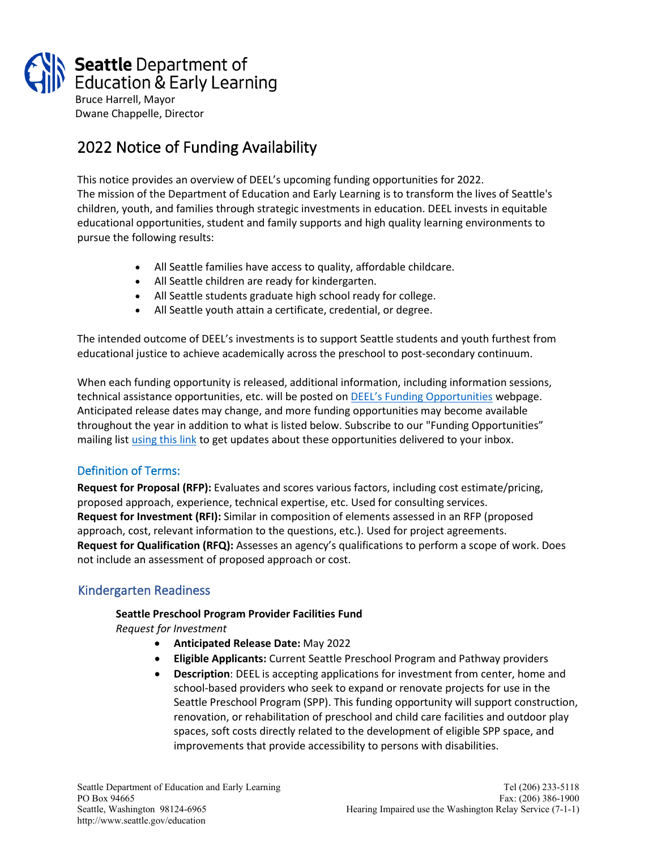

# 2022 Notice of Funding Availability

This notice provides an overview of DEEL's upcoming funding opportunities for 2022. The mission of the Department of Education and Early Learning is to transform the lives of Seattle's children, youth, and families through strategic investments in education. DEEL invests in equitable educational opportunities, student and family supports and high quality learning environments to pursue the following results:

- All Seattle families have access to quality, affordable childcare.
- All Seattle children are ready for kindergarten.
- All Seattle students graduate high school ready for college.
- All Seattle youth attain a certificate, credential, or degree.

The intended outcome of DEEL's investments is to support Seattle students and youth furthest from educational justice to achieve academically across the preschool to post-secondary continuum.

When each funding opportunity is released, additional information, including information sessions, technical assistance opportunities, etc. will be posted on **DEEL's Funding Opportunities** webpage. Anticipated release dates may change, and more funding opportunities may become available throughout the year in addition to what is listed below. Subscribe to our "Funding Opportunities" mailing lis[t using this link](https://public.govdelivery.com/accounts/WASEATTLE/subscriber/new?qsp=WASEATTLE_13) to get updates about these opportunities delivered to your inbox.

## Definition of Terms:

**Request for Proposal (RFP):** Evaluates and scores various factors, including cost estimate/pricing, proposed approach, experience, technical expertise, etc. Used for consulting services. **Request for Investment (RFI):** Similar in composition of elements assessed in an RFP (proposed approach, cost, relevant information to the questions, etc.). Used for project agreements. **Request for Qualification (RFQ):** Assesses an agency's qualifications to perform a scope of work. Does not include an assessment of proposed approach or cost.

# Kindergarten Readiness

#### **Seattle Preschool Program Provider Facilities Fund**

*Request for Investment*

- **Anticipated Release Date:** May 2022
- **Eligible Applicants:** Current Seattle Preschool Program and Pathway providers
- **Description**: DEEL is accepting applications for investment from center, home and school-based providers who seek to expand or renovate projects for use in the Seattle Preschool Program (SPP). This funding opportunity will support construction, renovation, or rehabilitation of preschool and child care facilities and outdoor play spaces, soft costs directly related to the development of eligible SPP space, and improvements that provide accessibility to persons with disabilities.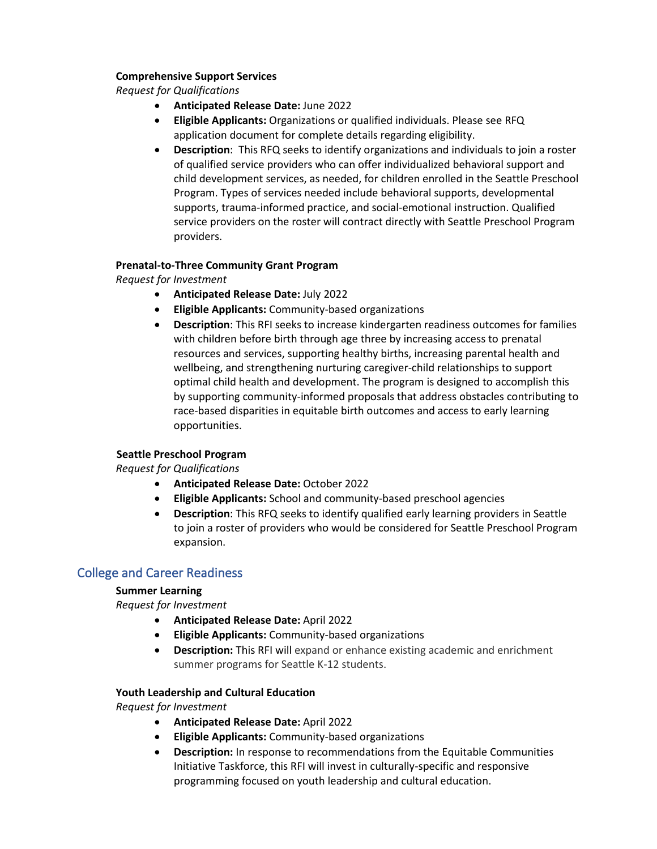#### **Comprehensive Support Services**

*Request for Qualifications*

- **Anticipated Release Date:** June 2022
- **Eligible Applicants:** Organizations or qualified individuals. Please see RFQ application document for complete details regarding eligibility.
- **Description**: This RFQ seeks to identify organizations and individuals to join a roster of qualified service providers who can offer individualized behavioral support and child development services, as needed, for children enrolled in the Seattle Preschool Program. Types of services needed include behavioral supports, developmental supports, trauma-informed practice, and social-emotional instruction. Qualified service providers on the roster will contract directly with Seattle Preschool Program providers.

#### **Prenatal-to-Three Community Grant Program**

*Request for Investment*

- **Anticipated Release Date:** July 2022
- **Eligible Applicants:** Community-based organizations
- **Description**: This RFI seeks to increase kindergarten readiness outcomes for families with children before birth through age three by increasing access to prenatal resources and services, supporting healthy births, increasing parental health and wellbeing, and strengthening nurturing caregiver-child relationships to support optimal child health and development. The program is designed to accomplish this by supporting community-informed proposals that address obstacles contributing to race-based disparities in equitable birth outcomes and access to early learning opportunities.

#### **Seattle Preschool Program**

*Request for Qualifications*

- **Anticipated Release Date:** October 2022
- **Eligible Applicants:** School and community-based preschool agencies
- **Description**: This RFQ seeks to identify qualified early learning providers in Seattle to join a roster of providers who would be considered for Seattle Preschool Program expansion.

## College and Career Readiness

#### **Summer Learning**

*Request for Investment*

- **Anticipated Release Date:** April 2022
- **Eligible Applicants:** Community-based organizations
- **Description:** This RFI will expand or enhance existing academic and enrichment summer programs for Seattle K-12 students.

#### **Youth Leadership and Cultural Education**

*Request for Investment*

- **Anticipated Release Date:** April 2022
- **Eligible Applicants:** Community-based organizations
- **Description:** In response to recommendations from the Equitable Communities Initiative Taskforce, this RFI will invest in culturally-specific and responsive programming focused on youth leadership and cultural education.